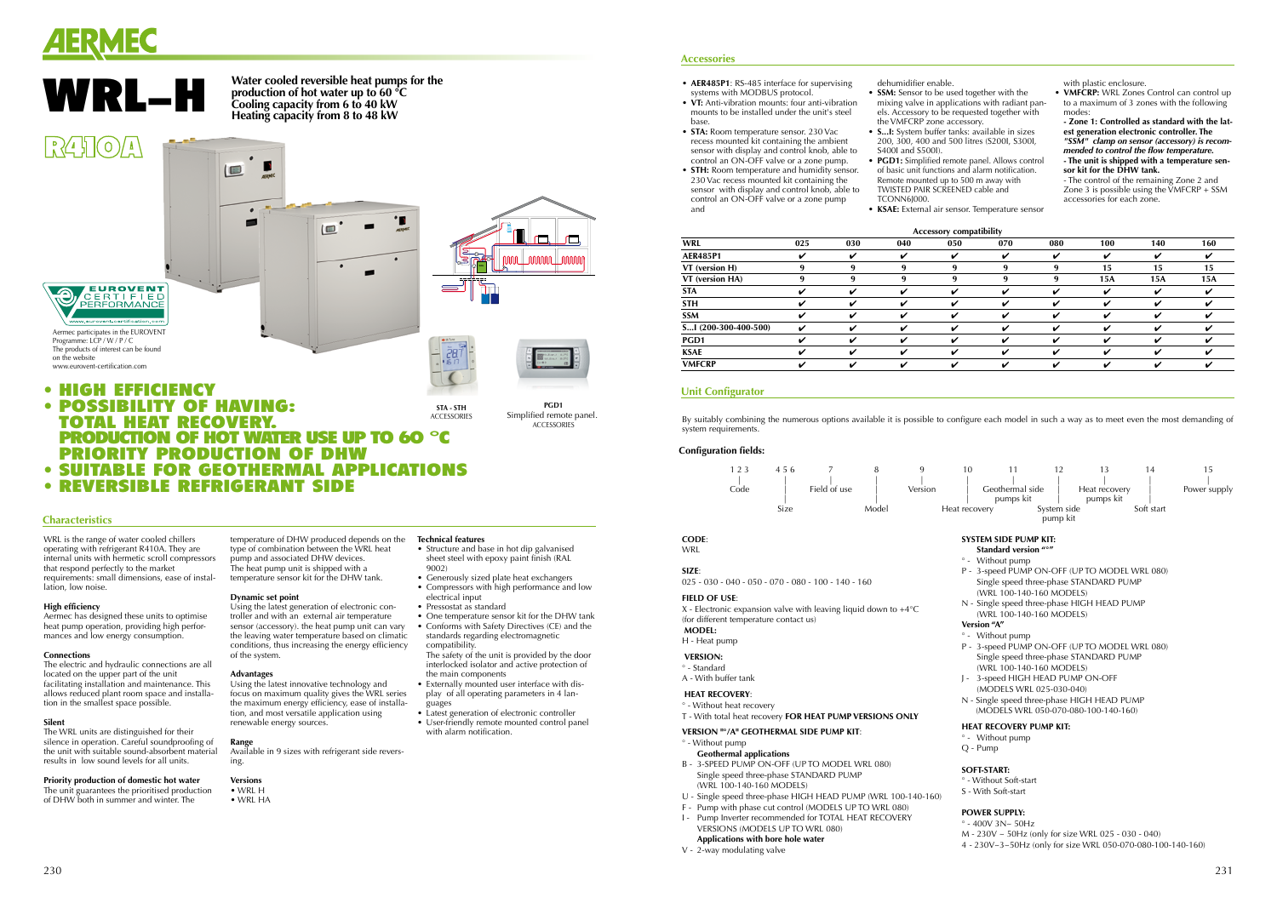





WRL is the range of water cooled chillers operating with refrigerant R410A. They are internal units with hermetic scroll compressors that respond perfectly to the market requirements: small dimensions, ease of installation, low noise.

### **High efficiency**

Aermec has designed these units to optimise heat pump operation, providing high performances and low energy consumption.

### **Connections**

The electric and hydraulic connections are all located on the upper part of the unit facilitating installation and maintenance. This allows reduced plant room space and installation in the smallest space possible.

### **Silent**

The WRL units are distinguished for their silence in operation. Careful soundproofing of the unit with suitable sound-absorbent material results in low sound levels for all units.

- Pressostat as standard
- One temperature sensor kit for the DHW tank
- compatibility. The safety of the unit is provided by the door
- Externally mounted user interface with dis-
- 
- 
- 
- Using the latest innovative technology and
- focus on maximum quality gives the WRL series the maximum energy efficiency, ease of installa-

### **Priority production of domestic hot water**

The unit guarantees the prioritised production of DHW both in summer and winter. The

• Structure and base in hot dip galvanised sheet steel with epoxy paint finish (RAL 9002)

type of combination between the WRL heat pump and associated DHW devices. The heat pump unit is shipped with a temperature sensor kit for the DHW tank.

**Dynamic set point**

Using the latest generation of electronic controller and with an external air temperature sensor (accessory). the heat pump unit can vary the leaving water temperature based on climatic conditions, thus increasing the energy efficiency

### temperature of DHW produced depends on the **Technical features**

of the system. **Advantages**

tion, and most versatile application using

- AER485P1: RS-485 interface for supervising systems with MODBUS protocol.
- **VT:** Anti-vibration mounts: four anti-vibration mounts to be installed under the unit's steel base.
- **STA:** Room temperature sensor. 230 Vac recess mounted kit containing the ambient
- **STH:** Room temperature and humidity sensor. 230 Vac recess mounted kit containing the control an ON-OFF valve or a zone pump and

renewable energy sources.

**Range** Available in 9 sizes with refrigerant side reversing.

### **Versions**

• WRL H • WRL HA

- **SSM:** Sensor to be used together with the
- sensor with display and control knob, able to control an ON-OFF valve or a zone pump.
- 
- 
- sensor with display and control knob, able to
- 
- 
- mixing valve in applications with radiant panels. Accessory to be requested together with the VMFCRP zone accessory. • S...I: System buffer tanks: available in sizes
- 200, 300, 400 and 500 litres (S200I, S300I, S400I and S500I). • **PGD1:** Simplified remote panel. Allows control of basic unit functions and alarm notification. Remote mounted up to 500 m away with
	- TCONN6J000.
	-

• **VMFCRP:** WRL Zones Control can control up to a maximum of 3 zones with the following modes:

interlocked isolator and active protection of the main components

By suitably combining the numerous options available it is possible to configure each model in such a way as to meet even the most demanding of system requirements.

- play of all operating parameters in 4 languages
- Latest generation of electronic controller • User-friendly remote mounted control panel
- with alarm notification.

### **Characteristics**

# • HIGH EFFICIENCy

• REVERSIBLE REFRIGERANT side

- Without pump
- 3-speed PUMP ON-OFF (UP TO MODEL WRL 080) Single speed three-phase STANDARD PUMP (WRL 100-140-160 MODELS) - 3-speed HIGH HEAD PUMP ON-OFF
- (MODELS WRL 025-030-040) - Single speed three-phase HIGH HEAD PUMP
- (MODELS WRL 050-070-080-100-140-160)

- Without pump
- Q Pump

 $-400V$   $3N<sub>~</sub>$  50Hz M - 230V ~ 50Hz (only for size WRL 025 - 030 - 040) 4 - 230V~3~50Hz (only for size WRL 050-070-080-100-140-160)

dehumidifier enable.

**PGD1** Simplified remote panel. **ACCESSORIES** 

Ē,

 $\Box$ 

TWISTED PAIR SCREENED cable and

• **KSAE:** External air sensor. Temperature sensor

with plastic enclosure.

**- Zone 1: Controlled as standard with the latest generation electronic controller. The**  *"SSM" clamp on sensor (accessory) is recommended to control the flow temperature.* **- The unit is shipped with a temperature sensor kit for the DHW tank.**

- The control of the remaining Zone 2 and Zone 3 is possible using the  $\text{VMFCRP} + \text{SSM}$ accessories for each zone.

### **Accessories**

# **Unit Configurator**



п

-

 $\Box$ 

V - 2-way modulating valve

| Connyaration neras.                                                                                                                                                                                                                                                    |                                                                                                                                                                                                                                                                                                                 |
|------------------------------------------------------------------------------------------------------------------------------------------------------------------------------------------------------------------------------------------------------------------------|-----------------------------------------------------------------------------------------------------------------------------------------------------------------------------------------------------------------------------------------------------------------------------------------------------------------|
| 123<br>456<br>9<br>7<br>8<br>Field of use<br>Code<br>Version<br>Model<br>Size                                                                                                                                                                                          | 10<br>12<br>13<br>11<br>1.<br>Geothermal side<br>Heat recovery<br>pumps kit<br>pumps kit<br>System side<br>Soft<br>Heat recovery<br>pump kit                                                                                                                                                                    |
| <b>CODE:</b><br><b>WRL</b><br>SIZE:<br>$025 - 030 - 040 - 050 - 070 - 080 - 100 - 140 - 160$<br><b>FIELD OF USE:</b><br>X - Electronic expansion valve with leaving liquid down to $+4^{\circ}$ C<br>(for different temperature contact us)<br><b>MODEL:</b>           | <b>SYSTEM SIDE PUMP KIT:</b><br>Standard version "°"<br>° - Without pump<br>P - 3-speed PUMP ON-OFF (UP TO MODEL WRL<br>Single speed three-phase STANDARD PUMP<br>(WRL 100-140-160 MODELS)<br>N - Single speed three-phase HIGH HEAD PUMP<br>(WRL 100-140-160 MODELS)<br><b>Version "A"</b><br>° - Without pump |
| H - Heat pump<br><b>VERSION:</b><br>° - Standard<br>A - With buffer tank<br><b>HEAT RECOVERY:</b><br>° - Without heat recovery<br>T - With total heat recovery FOR HEAT PUMP VERSIONS ONLY                                                                             | P - 3-speed PUMP ON-OFF (UP TO MODEL WRL<br>Single speed three-phase STANDARD PUMP<br>(WRL 100-140-160 MODELS)<br>J - 3-speed HIGH HEAD PUMP ON-OFF<br>(MODELS WRL 025-030-040)<br>N - Single speed three-phase HIGH HEAD PUMP<br>(MODELS WRL 050-070-080-100-140-160)                                          |
| VERSION "°/A" GEOTHERMAL SIDE PUMP KIT:<br>° - Without pump<br><b>Geothermal applications</b><br>B - 3-SPEED PUMP ON-OFF (UP TO MODEL WRL 080)<br>Single speed three-phase STANDARD PUMP<br>(WRL 100-140-160 MODELS)                                                   | <b>HEAT RECOVERY PUMP KIT:</b><br>° - Without pump<br>$Q - Pump$<br><b>SOFT-START:</b><br>° - Without Soft-start<br>S - With Soft-start                                                                                                                                                                         |
| U - Single speed three-phase HIGH HEAD PUMP (WRL 100-140-160)<br>F - Pump with phase cut control (MODELS UP TO WRL 080)<br>Pump Inverter recommended for TOTAL HEAT RECOVERY<br>$\mathsf{I}$ -<br>VERSIONS (MODELS UP TO WRL 080)<br>Applications with bore hole water | <b>POWER SUPPLY:</b><br>$^{\circ}$ - 400V 3N~ 50Hz<br>M - 230V ~ 50Hz (only for size WRL 025 - 030 - 04<br>$\mu$ 220 $\mu$ 7 FOLL (only for size M/DL OFO 070, 080                                                                                                                                              |

# **Version "A"**



### **HEAT Recovery pump kit:**

### **Soft-start:**

### **Power supply:**

### **Configuration fields:**

**WRL**

- Generously sized plate heat exchangers
- Compressors with high performance and low electrical input
- 
- Conforms with Safety Directives (CE) and the standards regarding electromagnetic

## **Accessory compatibility**

|                      |     |     |     | ACCESSULY COMPANDINTY |     |     |     |     |     |
|----------------------|-----|-----|-----|-----------------------|-----|-----|-----|-----|-----|
| <b>WRL</b>           | 025 | 030 | 040 | 050                   | 070 | 080 | 100 | 140 | 160 |
| <b>AER485P1</b>      | v   | ✓   | ✓   | ✓                     | ✓   | ✓   | ✓   | V   |     |
| VT (version H)       | 9   | 9   | 9   | 9                     | 9   | 9   | 15  | 15  | 15  |
| VT (version HA)      | 9   | 9   | 9   | 9                     | 9   | 9   | 15A | 15A | 15A |
| STA                  | v   | ✔   | ✓   | V                     | ✓   | ✔   | ✓   | V   |     |
| <b>STH</b>           | ✔   | ✔   | ✓   | ✔                     | ✓   | ✔   | ✓   | ✔   |     |
| SSM                  | V   |     | ✓   | ✔                     | ✓   | ✔   | ✔   | v   |     |
| S1 (200-300-400-500) | v   |     | ✓   | v                     | ✓   | ✔   | ✔   | ✔   |     |
| PGD1                 | ✓   | ✔   | ✔   | v                     | V   | V   | ✔   | ✔   |     |
| <b>KSAE</b>          | ✔   | ✓   | ✓   | V                     | ✓   | ✓   | ✓   | V   |     |
| <b>VMFCRP</b>        | ✓   | ✔   | ✓   | V                     | ✓   | V   | ✔   | V   |     |
|                      |     |     |     |                       |     |     |     |     |     |

**Water cooled reversible heat pumps for the production of hot water up to 60 °C Cooling capacity from 6 to 40 kW Heating capacity from 8 to 48 kW**

(三)

# $R410A$



Aermec participates in the EUROVENT Programme: LCP / W / P / C The products of interest can be found on the website www.eurovent-certification.com